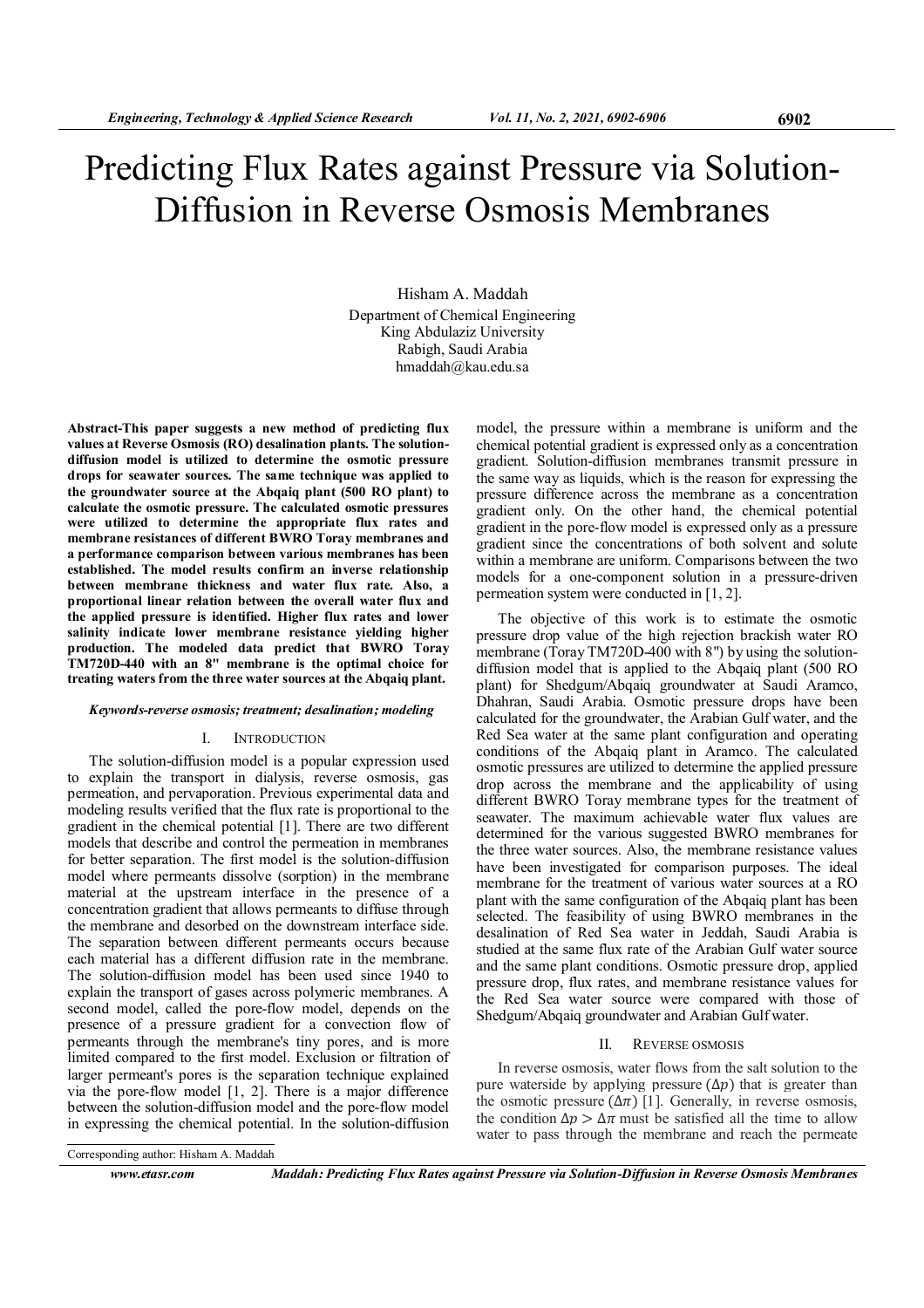# Predicting Flux Rates against Pressure via Solution-Diffusion in Reverse Osmosis Membranes

Hisham A. Maddah Department of Chemical Engineering King Abdulaziz University Rabigh, Saudi Arabia hmaddah@kau.edu.sa

Abstract-This paper suggests a new method of predicting flux values at Reverse Osmosis (RO) desalination plants. The solutiondiffusion model is utilized to determine the osmotic pressure drops for seawater sources. The same technique was applied to the groundwater source at the Abqaiq plant (500 RO plant) to calculate the osmotic pressure. The calculated osmotic pressures were utilized to determine the appropriate flux rates and membrane resistances of different BWRO Toray membranes and a performance comparison between various membranes has been established. The model results confirm an inverse relationship between membrane thickness and water flux rate. Also, a proportional linear relation between the overall water flux and the applied pressure is identified. Higher flux rates and lower salinity indicate lower membrane resistance yielding higher production. The modeled data predict that BWRO Toray TM720D-440 with an 8" membrane is the optimal choice for treating waters from the three water sources at the Abqaiq plant.

#### Keywords-reverse osmosis; treatment; desalination; modeling

#### I. INTRODUCTION

The solution-diffusion model is a popular expression used to explain the transport in dialysis, reverse osmosis, gas permeation, and pervaporation. Previous experimental data and modeling results verified that the flux rate is proportional to the gradient in the chemical potential [1]. There are two different models that describe and control the permeation in membranes for better separation. The first model is the solution-diffusion model where permeants dissolve (sorption) in the membrane material at the upstream interface in the presence of a concentration gradient that allows permeants to diffuse through the membrane and desorbed on the downstream interface side. The separation between different permeants occurs because each material has a different diffusion rate in the membrane. The solution-diffusion model has been used since 1940 to explain the transport of gases across polymeric membranes. A second model, called the pore-flow model, depends on the presence of a pressure gradient for a convection flow of permeants through the membrane's tiny pores, and is more limited compared to the first model. Exclusion or filtration of larger permeant's pores is the separation technique explained via the pore-flow model [1, 2]. There is a major difference between the solution-diffusion model and the pore-flow model in expressing the chemical potential. In the solution-diffusion

model, the pressure within a membrane is uniform and the chemical potential gradient is expressed only as a concentration gradient. Solution-diffusion membranes transmit pressure in the same way as liquids, which is the reason for expressing the pressure difference across the membrane as a concentration gradient only. On the other hand, the chemical potential gradient in the pore-flow model is expressed only as a pressure gradient since the concentrations of both solvent and solute within a membrane are uniform. Comparisons between the two models for a one-component solution in a pressure-driven permeation system were conducted in [1, 2].

The objective of this work is to estimate the osmotic pressure drop value of the high rejection brackish water RO membrane (Toray TM720D-400 with 8") by using the solutiondiffusion model that is applied to the Abqaiq plant (500 RO plant) for Shedgum/Abqaiq groundwater at Saudi Aramco, Dhahran, Saudi Arabia. Osmotic pressure drops have been calculated for the groundwater, the Arabian Gulf water, and the Red Sea water at the same plant configuration and operating conditions of the Abqaiq plant in Aramco. The calculated osmotic pressures are utilized to determine the applied pressure drop across the membrane and the applicability of using different BWRO Toray membrane types for the treatment of seawater. The maximum achievable water flux values are determined for the various suggested BWRO membranes for the three water sources. Also, the membrane resistance values have been investigated for comparison purposes. The ideal membrane for the treatment of various water sources at a RO plant with the same configuration of the Abqaiq plant has been selected. The feasibility of using BWRO membranes in the desalination of Red Sea water in Jeddah, Saudi Arabia is studied at the same flux rate of the Arabian Gulf water source and the same plant conditions. Osmotic pressure drop, applied pressure drop, flux rates, and membrane resistance values for the Red Sea water source were compared with those of Shedgum/Abqaiq groundwater and Arabian Gulf water.

#### II. REVERSE OSMOSIS

In reverse osmosis, water flows from the salt solution to the pure waterside by applying pressure  $(\Delta p)$  that is greater than the osmotic pressure  $(\Delta \pi)$  [1]. Generally, in reverse osmosis, the condition  $\Delta p > \Delta \pi$  must be satisfied all the time to allow water to pass through the membrane and reach the permeate

Corresponding author: Hisham A. Maddah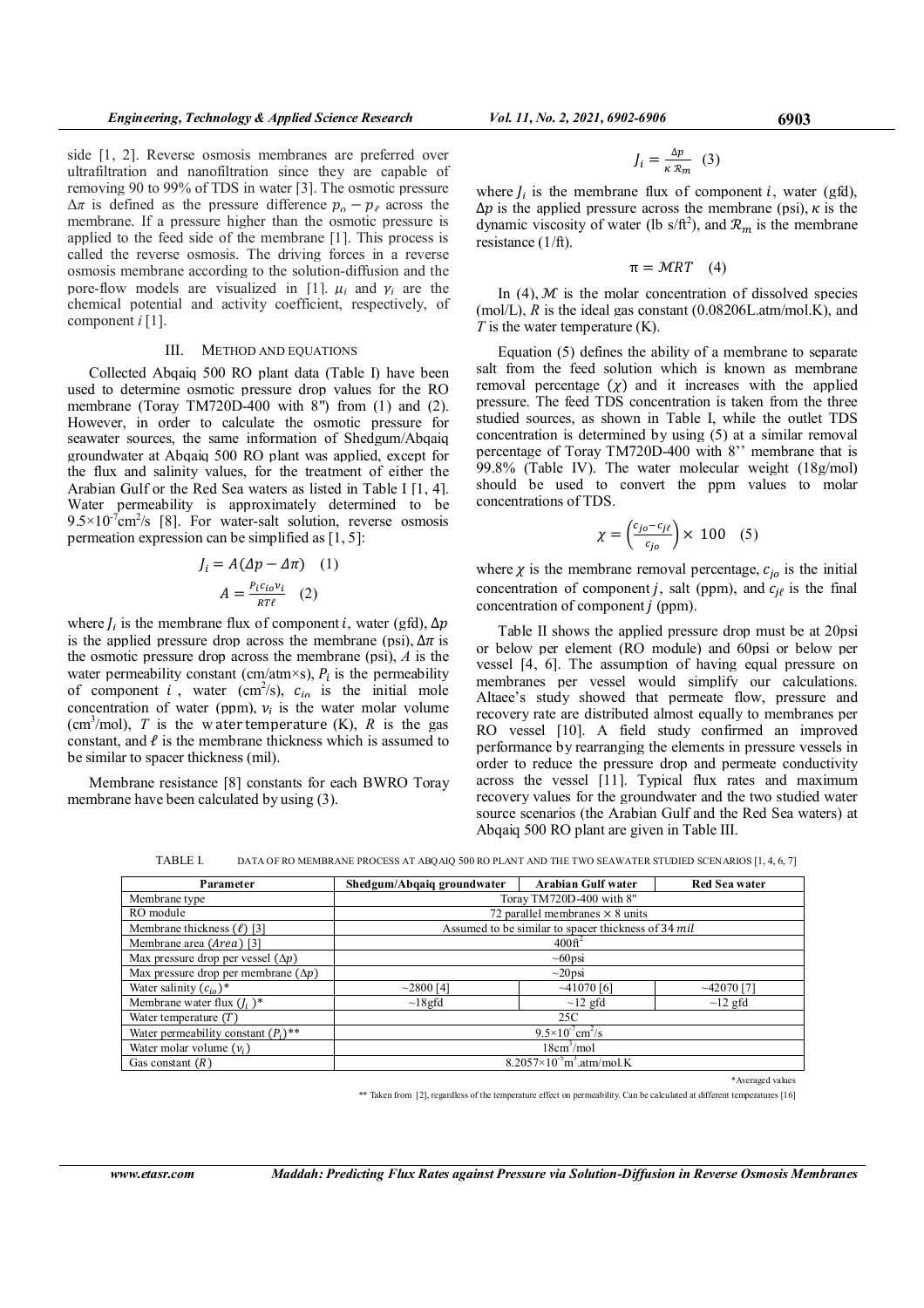side [1, 2]. Reverse osmosis membranes are preferred over ultrafiltration and nanofiltration since they are capable of removing 90 to 99% of TDS in water [3]. The osmotic pressure  $\Delta \pi$  is defined as the pressure difference  $p_{o} - p_{\ell}$  across the membrane. If a pressure higher than the osmotic pressure is applied to the feed side of the membrane [1]. This process is called the reverse osmosis. The driving forces in a reverse osmosis membrane according to the solution-diffusion and the pore-flow models are visualized in [1].  $\mu_i$  and  $\gamma_i$  are the chemical potential and activity coefficient, respectively, of component  $i \, [1]$ .

#### III. METHOD AND EQUATIONS

Collected Abqaiq 500 RO plant data (Table I) have been used to determine osmotic pressure drop values for the RO membrane (Toray TM720D-400 with 8") from (1) and (2). However, in order to calculate the osmotic pressure for seawater sources, the same information of Shedgum/Abqaiq groundwater at Abqaiq 500 RO plant was applied, except for the flux and salinity values, for the treatment of either the Arabian Gulf or the Red Sea waters as listed in Table I [1, 4]. Water permeability is approximately determined to be  $9.5 \times 10^{-7}$ cm<sup>2</sup>/s [8]. For water-salt solution, reverse osmosis permeation expression can be simplified as [1, 5]:

$$
J_i = A(\Delta p - \Delta \pi) \quad (1)
$$

$$
A = \frac{P_i c_{io} v_i}{RT\ell} \quad (2)
$$

where  $J_i$  is the membrane flux of component *i*, water (gfd),  $\Delta p$ is the applied pressure drop across the membrane (psi),  $\Delta \pi$  is the osmotic pressure drop across the membrane (psi),  $\vec{A}$  is the water permeability constant (cm/atm×s),  $P_i$  is the permeability of component i, water  $(cm^2/s)$ ,  $c_{i\alpha}$  is the initial mole concentration of water (ppm),  $v_i$  is the water molar volume (cm<sup>3</sup>/mol), T is the w ater temperature (K), R is the gas constant, and  $\ell$  is the membrane thickness which is assumed to be similar to spacer thickness (mil).

Membrane resistance [8] constants for each BWRO Toray membrane have been calculated by using (3).

$$
J_i = \frac{\Delta p}{\kappa \, \mathcal{R}_m} \quad (3)
$$

where  $I_i$  is the membrane flux of component i, water (gfd),  $\Delta p$  is the applied pressure across the membrane (psi),  $\kappa$  is the dynamic viscosity of water (lb s/ft<sup>2</sup>), and  $\mathcal{R}_m$  is the membrane resistance (1/ft).

 $\pi = MRT$  (4)

In  $(4)$ ,  $M$  is the molar concentration of dissolved species (mol/L),  $R$  is the ideal gas constant (0.08206L.atm/mol.K), and  $T$  is the water temperature  $(K)$ .

Equation (5) defines the ability of a membrane to separate salt from the feed solution which is known as membrane removal percentage  $(\chi)$  and it increases with the applied pressure. The feed TDS concentration is taken from the three studied sources, as shown in Table I, while the outlet TDS concentration is determined by using (5) at a similar removal percentage of Toray TM720D-400 with 8'' membrane that is 99.8% (Table IV). The water molecular weight (18g/mol) should be used to convert the ppm values to molar concentrations of TDS.

$$
\chi = \left(\frac{c_{jo} - c_{j\ell}}{c_{jo}}\right) \times 100 \quad (5)
$$

where  $\chi$  is the membrane removal percentage,  $c_{i0}$  is the initial concentration of component *j*, salt (ppm), and  $c_{i\ell}$  is the final concentration of component  $j$  (ppm).

Table II shows the applied pressure drop must be at 20psi or below per element (RO module) and 60psi or below per vessel [4, 6]. The assumption of having equal pressure on membranes per vessel would simplify our calculations. Altaee's study showed that permeate flow, pressure and recovery rate are distributed almost equally to membranes per RO vessel [10]. A field study confirmed an improved performance by rearranging the elements in pressure vessels in order to reduce the pressure drop and permeate conductivity across the vessel [11]. Typical flux rates and maximum recovery values for the groundwater and the two studied water source scenarios (the Arabian Gulf and the Red Sea waters) at Abqaiq 500 RO plant are given in Table III.

TABLE I. DATA OF RO MEMBRANE PROCESS AT ABQAIQ 500 RO PLANT AND THE TWO SEAWATER STUDIED SCENARIOS [1, 4, 6, 7]

| Parameter                                         | Shedgum/Abqaiq groundwater                      | <b>Arabian Gulf water</b>                           | <b>Red Sea water</b> |  |
|---------------------------------------------------|-------------------------------------------------|-----------------------------------------------------|----------------------|--|
| Membrane type                                     | Toray TM720D-400 with 8"                        |                                                     |                      |  |
| RO module                                         |                                                 | 72 parallel membranes $\times$ 8 units              |                      |  |
| Membrane thickness $(\ell)$ [3]                   |                                                 | Assumed to be similar to spacer thickness of 34 mil |                      |  |
| Membrane area (Area) [3]                          |                                                 | 400f <sup>2</sup>                                   |                      |  |
| Max pressure drop per vessel $(\Delta p)$         |                                                 | $\sim 60$ psi                                       |                      |  |
| Max pressure drop per membrane $(\Delta p)$       | $\sim$ 20psi                                    |                                                     |                      |  |
| Water salinity $(c_{i_0})^*$                      | $\sim$ 2800 [4]                                 | ~1070~6                                             | $\sim$ 42070 [7]     |  |
| Membrane water flux $(I_i^{\bullet})^*$           | $\sim$ 18 gfd                                   | $\sim$ 12 gfd                                       | $\sim$ 12 gfd        |  |
| Water temperature $(T)$                           |                                                 | 25C                                                 |                      |  |
| Water permeability constant $(P_i)$ <sup>**</sup> | $9.5 \times 10^{7}$ cm <sup>2</sup> /s          |                                                     |                      |  |
| Water molar volume $(v_i)$                        | 18cm <sup>3</sup> /mol                          |                                                     |                      |  |
| Gas constant $(R)$                                | $8.2057\times10^{-5}$ m <sup>3</sup> at m/mol.K |                                                     |                      |  |
|                                                   |                                                 |                                                     | *Averaged values     |  |

\*\* Taken from [2], regardless of the temperature effect on permeability. Can be calculated at different temperatures [16]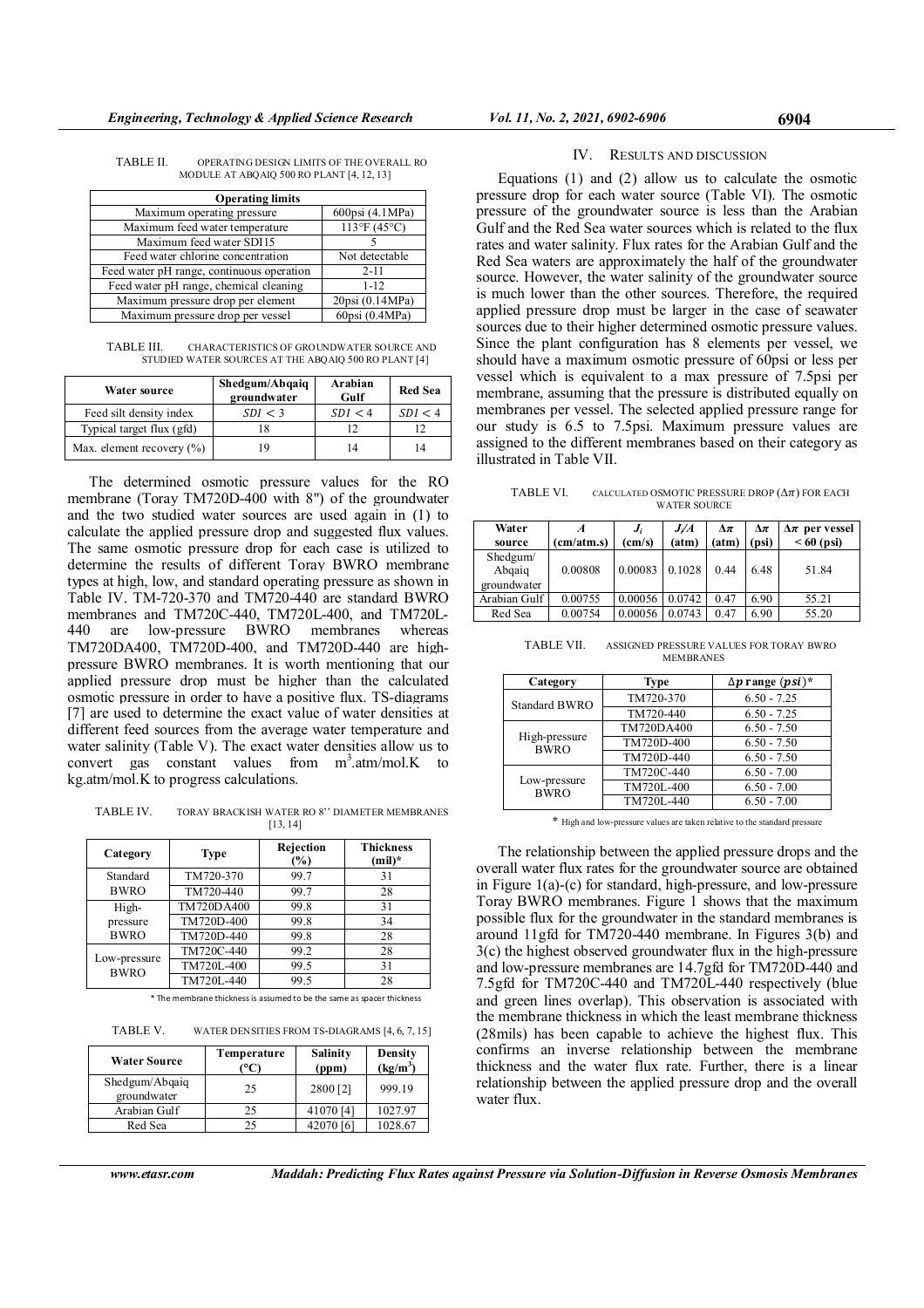| TABLE II. | OPERATING DESIGN LIMITS OF THE OVERALL RO |
|-----------|-------------------------------------------|
|           | MODULE AT ABQAIQ 500 RO PLANT [4, 12, 13] |

| <b>Operating limits</b>                   |                             |  |  |  |
|-------------------------------------------|-----------------------------|--|--|--|
| Maximum operating pressure                | 600psi (4.1MPa)             |  |  |  |
| Maximum feed water temperature            | $113^{\circ}F(45^{\circ}C)$ |  |  |  |
| Maximum feed water SDI15                  |                             |  |  |  |
| Feed water chlorine concentration         | Not detectable              |  |  |  |
| Feed water pH range, continuous operation | $2 - 11$                    |  |  |  |
| Feed water pH range, chemical cleaning    | $1 - 12$                    |  |  |  |
| Maximum pressure drop per element         | 20psi (0.14MPa)             |  |  |  |
| Maximum pressure drop per vessel          | 60psi (0.4MPa)              |  |  |  |

TABLE III. CHARACTERISTICS OF GROUNDWATER SOURCE AND STUDIED WATER SOURCES AT THE ABQAIQ 500 RO PLANT [4]

| Water source                  | Shedgum/Abqaiq<br>groundwater | Arabian<br>Gulf | <b>Red Sea</b> |
|-------------------------------|-------------------------------|-----------------|----------------|
| Feed silt density index       | SDI < 3                       | SDI < 4         | SDI < 4        |
| Typical target flux (gfd)     |                               | 12              |                |
| Max. element recovery $(\% )$ | 19                            | 14              |                |

The determined osmotic pressure values for the RO membrane (Toray TM720D-400 with 8") of the groundwater and the two studied water sources are used again in (1) to calculate the applied pressure drop and suggested flux values. The same osmotic pressure drop for each case is utilized to determine the results of different Toray BWRO membrane types at high, low, and standard operating pressure as shown in Table IV. TM-720-370 and TM720-440 are standard BWRO membranes and TM720C-440, TM720L-400, and TM720L-440 are low-pressure BWRO membranes whereas TM720DA400, TM720D-400, and TM720D-440 are highpressure BWRO membranes. It is worth mentioning that our applied pressure drop must be higher than the calculated osmotic pressure in order to have a positive flux. TS-diagrams [7] are used to determine the exact value of water densities at different feed sources from the average water temperature and water salinity (Table V). The exact water densities allow us to convert gas constant values from  $m^3$  atm/mol.K to kg.atm/mol.K to progress calculations.

TABLE IV. TORAY BRACKISH WATER RO 8'' DIAMETER MEMBRANES [13, 14]

| Category                    | Type       | Rejection<br>$\frac{1}{2}$ | <b>Thickness</b><br>$(mil)^*$ |
|-----------------------------|------------|----------------------------|-------------------------------|
| Standard                    | TM720-370  | 99.7                       | 31                            |
| <b>BWRO</b>                 | TM720-440  | 99.7                       | 28                            |
| High-                       | TM720DA400 | 99.8                       | 31                            |
| pressure                    | TM720D-400 | 99.8                       | 34                            |
| <b>BWRO</b>                 | TM720D-440 | 99.8                       | 28                            |
|                             | TM720C-440 | 99.2                       | 28                            |
| Low-pressure<br><b>BWRO</b> | TM720L-400 | 99.5                       | 31                            |
|                             | TM720L-440 | 99.5                       | 28                            |

\* The membrane thickness is assumed to be the same as spacer thickness

| <b>Water Source</b>           | Temperature | Salinity<br>(ppm) | Density<br>$(kg/m^3)$ |
|-------------------------------|-------------|-------------------|-----------------------|
| Shedgum/Abqaiq<br>groundwater | 25          | 2800 [2]          | 999.19                |
| Arabian Gulf                  | 25          | 41070 [4]         | 1027.97               |
| Red Sea                       | 25          | 42070 [6]         | 1028.67               |

TABLE V. WATER DENSITIES FROM TS-DIAGRAMS [4, 6, 7, 15]

## IV. RESULTS AND DISCUSSION

Equations (1) and (2) allow us to calculate the osmotic pressure drop for each water source (Table VI). The osmotic pressure of the groundwater source is less than the Arabian Gulf and the Red Sea water sources which is related to the flux rates and water salinity. Flux rates for the Arabian Gulf and the Red Sea waters are approximately the half of the groundwater source. However, the water salinity of the groundwater source is much lower than the other sources. Therefore, the required applied pressure drop must be larger in the case of seawater sources due to their higher determined osmotic pressure values. Since the plant configuration has 8 elements per vessel, we should have a maximum osmotic pressure of 60psi or less per vessel which is equivalent to a max pressure of 7.5psi per membrane, assuming that the pressure is distributed equally on membranes per vessel. The selected applied pressure range for our study is 6.5 to 7.5psi. Maximum pressure values are assigned to the different membranes based on their category as illustrated in Table VII.

TABLE VI. CALCULATED OSMOTIC PRESSURE DROP  $(\Delta \pi)$  FOR EACH WATER SOURCE

| Water                             |            | J/A<br>$J_i$    |        | Δπ    | $\Delta \pi$ | $\Delta \pi$ per vessel |  |
|-----------------------------------|------------|-----------------|--------|-------|--------------|-------------------------|--|
| source                            | (cm/atm.s) | $\text{(cm/s)}$ | (atm)  | (atm) | (psi)        | $< 60$ (psi)            |  |
| Shedgum/<br>Abqaiq<br>groundwater | 0.00808    | 0.00083         | 0.1028 | 0.44  | 6.48         | 51.84                   |  |
| Arabian Gulf                      | 0.00755    | 0.00056         | 0.0742 | 0.47  | 6.90         | 55.21                   |  |
| Red Sea                           | 0.00754    | 0.00056         | 0.0743 | 0.47  | 6.90         | 55.20                   |  |

| TABLE VII. | ASSIGNED PRESSURE VALUES FOR TORAY BWRO |  |
|------------|-----------------------------------------|--|
|            | <b>MEMBRANES</b>                        |  |

| Category                     | Type       | $\Delta p$ range $(psi)^*$ |
|------------------------------|------------|----------------------------|
| <b>Standard BWRO</b>         | TM720-370  | $6.50 - 7.25$              |
|                              | TM720-440  | $6.50 - 7.25$              |
| High-pressure<br><b>BWRO</b> | TM720DA400 | $6.50 - 7.50$              |
|                              | TM720D-400 | $6.50 - 7.50$              |
|                              | TM720D-440 | $6.50 - 7.50$              |
|                              | TM720C-440 | $6.50 - 7.00$              |
| Low-pressure<br><b>BWRO</b>  | TM720L-400 | $6.50 - 7.00$              |
|                              | TM720L-440 | $6.50 - 7.00$              |

\* High and low-pressure values are taken relative to the standard pressure

The relationship between the applied pressure drops and the overall water flux rates for the groundwater source are obtained in Figure 1(a)-(c) for standard, high-pressure, and low-pressure Toray BWRO membranes. Figure 1 shows that the maximum possible flux for the groundwater in the standard membranes is around 11gfd for TM720-440 membrane. In Figures 3(b) and 3(c) the highest observed groundwater flux in the high-pressure and low-pressure membranes are 14.7gfd for TM720D-440 and 7.5gfd for TM720C-440 and TM720L-440 respectively (blue and green lines overlap). This observation is associated with the membrane thickness in which the least membrane thickness (28mils) has been capable to achieve the highest flux. This confirms an inverse relationship between the membrane thickness and the water flux rate. Further, there is a linear relationship between the applied pressure drop and the overall water flux.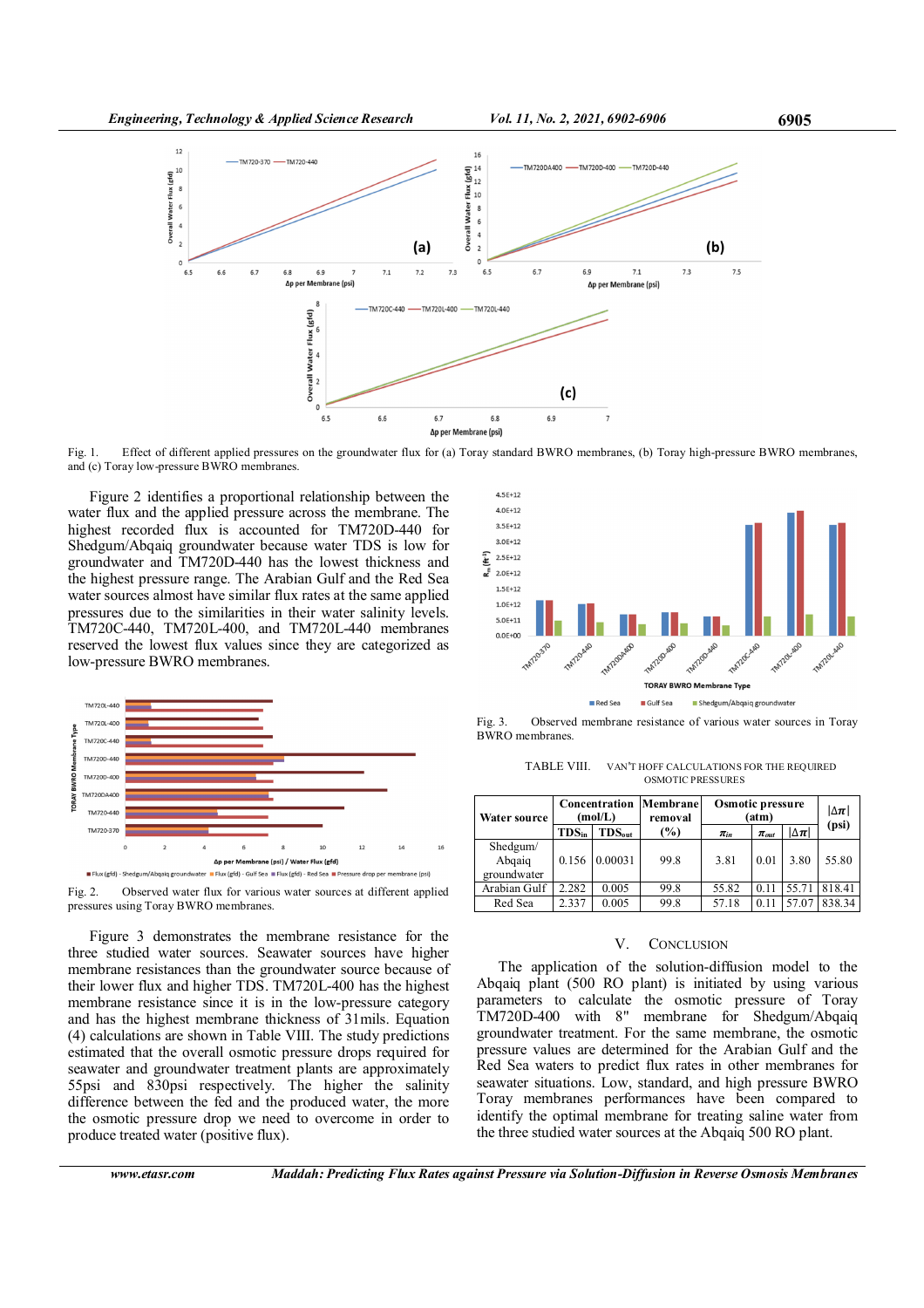

Fig. 1. Effect of different applied pressures on the groundwater flux for (a) Toray standard BWRO membranes, (b) Toray high-pressure BWRO membranes, and (c) Toray low-pressure BWRO membranes.

Figure 2 identifies a proportional relationship between the water flux and the applied pressure across the membrane. The highest recorded flux is accounted for TM720D-440 for Shedgum/Abqaiq groundwater because water TDS is low for groundwater and TM720D-440 has the lowest thickness and the highest pressure range. The Arabian Gulf and the Red Sea water sources almost have similar flux rates at the same applied pressures due to the similarities in their water salinity levels. TM720C-440, TM720L-400, and TM720L-440 membranes reserved the lowest flux values since they are categorized as low-pressure BWRO membranes.





Figure 3 demonstrates the membrane resistance for the three studied water sources. Seawater sources have higher membrane resistances than the groundwater source because of their lower flux and higher TDS. TM720L-400 has the highest membrane resistance since it is in the low-pressure category and has the highest membrane thickness of 31mils. Equation (4) calculations are shown in Table VIII. The study predictions estimated that the overall osmotic pressure drops required for seawater and groundwater treatment plants are approximately 55psi and 830psi respectively. The higher the salinity difference between the fed and the produced water, the more the osmotic pressure drop we need to overcome in order to produce treated water (positive flux).



Fig. 3. Observed membrane resistance of various water sources in Toray BWRO membranes.

TABLE VIII. VAN'T HOFF CALCULATIONS FOR THE REQUIRED OSMOTIC PRESSURES

| Water source                      | Concentration<br>(mol/L) |               | Membrane<br>removal | Osmotic pressure<br>(atm) |             |                | $ \Delta \pi $ |
|-----------------------------------|--------------------------|---------------|---------------------|---------------------------|-------------|----------------|----------------|
|                                   | $TDS_{in}$               | $TDS_{out}$   | (%)                 | $\pi_{in}$                | $\pi_{out}$ | $ \Delta \pi $ | (psi)          |
| Shedgum/<br>Abgaig<br>groundwater |                          | 0.156 0.00031 | 99.8                | 3.81                      | 0.01        | 3.80           | 55.80          |
| Arabian Gulf                      | 2.282                    | 0.005         | 99.8                | 55.82                     | 0.11        | 55.71          | 818.41         |
| Red Sea                           | 2.337                    | 0.005         | 99.8                | 57.18                     | 0.11        | 57.07          | 838.34         |

#### V. CONCLUSION

The application of the solution-diffusion model to the Abqaiq plant (500 RO plant) is initiated by using various parameters to calculate the osmotic pressure of Toray TM720D-400 with 8" membrane for Shedgum/Abqaiq groundwater treatment. For the same membrane, the osmotic pressure values are determined for the Arabian Gulf and the Red Sea waters to predict flux rates in other membranes for seawater situations. Low, standard, and high pressure BWRO Toray membranes performances have been compared to identify the optimal membrane for treating saline water from the three studied water sources at the Abqaiq 500 RO plant.